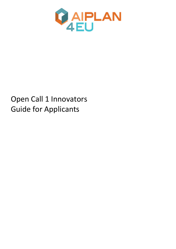

# Open Call 1 Innovators Guide for Applicants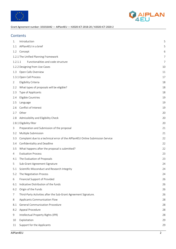



|         | Contents                                                                      |    |
|---------|-------------------------------------------------------------------------------|----|
| 1.      | Introduction                                                                  | 5  |
| 1.1     | AIPlan4EU in a brief                                                          | 5  |
| 1.2     | Concept                                                                       | 6  |
|         | 1.2.1 The Unified Planning Framework                                          | 7  |
| 1.2.1.1 | Functionalities and code structure                                            | 7  |
|         | 1.2.2 Designing from Use-Cases                                                | 10 |
| 1.3     | Open Calls Overview                                                           | 11 |
|         | 1.3.1 Open Call Process                                                       | 17 |
| 2       | Eligibility Criteria                                                          | 18 |
| 2.2     | What types of proposals will be eligible?                                     | 18 |
| 2.3     | Type of Applicants                                                            | 18 |
| 2.4     | Eligible Countries                                                            | 19 |
| 2.5     | Language                                                                      | 19 |
| 2.6     | Conflict of Interest                                                          | 19 |
| 2.7     | Other                                                                         | 20 |
| 2.8     | Admissibility and Eligibility Check                                           | 20 |
|         | 2.8.1 Eligibility filter                                                      | 20 |
| 3       | Preparation and Submission of the proposal                                    | 21 |
| 3.2     | Multiple Submission                                                           | 21 |
| 3.3     | Complaint due to a technical error of the AIPlan4EU Online Submission Service | 22 |
| 3.4     | Confidentiality and Deadline                                                  | 22 |
| 3.5     | What happens after the proposal is submitted?                                 | 22 |
| 4       | <b>Evaluation Process</b>                                                     | 23 |
| 4.1     | The Evaluation of Proposals                                                   | 23 |
| 5       | Sub-Grant Agreement Signature                                                 | 24 |
| 5.1     | Scientific Misconduct and Research Integrity                                  | 24 |
| 5.2     | The Negotiation Process                                                       | 24 |
| 6       | Financial Support of Provided                                                 | 26 |
| 6.1     | Indicative Distribution of the funds                                          | 26 |
| 6.2     | Origin of the Funds                                                           | 26 |
| 7       | Third-Party Activities after the Sub-Grant Agreement Signature.               | 26 |
| 8       | Applicants Communication Flow                                                 | 28 |
| 8.1     | <b>General Communication Procedure</b>                                        | 28 |
| 8.2     | Appeal Procedure                                                              | 28 |
| 9       | Intellectual Property Rights (IPR)                                            | 28 |
| 10      | Exploitation                                                                  | 29 |
| 11      | Support for the Applicants                                                    | 29 |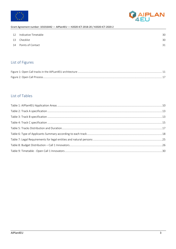



| 12 | Indicative Timetable | 30 |
|----|----------------------|----|
| 13 | Checklist            | 30 |
|    | 14 Points of Contact | 31 |
|    |                      |    |

# List of Figures

# List of Tables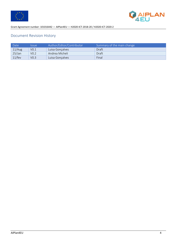



# Document Revision History

| Date <sup></sup> | <i><u><b>Issue</b></u></i> | Author/Editor/Contributor | Summary of the main change |
|------------------|----------------------------|---------------------------|----------------------------|
| 11/Aug           | V <sub>0.1</sub>           | Luisa Goncalves           | Draft                      |
| $25/$ Jan        | V <sub>0.2</sub>           | Andrea Micheli            | Draft                      |
| $11$ /fev        | VO.3                       | Luisa Gonçalves           | Final                      |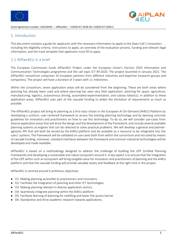



# 1. Introduction

This document contains a guide for applicants with the necessary information to apply to the Open Call 1-Innovators , including the eligibility criteria, instructions to apply, an overview of the evaluation process, funding and relevant legal information, and the track template that applicants must fill to apply.

# 1.1 AIPlan4EU in a brief

The European Commission funds AIPlan4EU Project under the European Union's Horizon 2020 Information and Communication Technologies programme and the call topic ICT-49-2020. The project launched in January 2021. The AIPlan4EU consortium comprises 16 European partners from different industries and expertise (research groups and companies). The project will have a duration of 3 years with 11 milestones.

Within the consortium, seven application areas will be considered from the beginning. These are both areas where planning has already been used and where planning has seen very little application: planning for space, agriculture, manufacturing, logistics, autonomous driving, automated experimentation, and subsea robotics). In addition to these application areas, AIPlan4EU uses part of the cascade funding to widen the elicitation of requirements as much as possible.

The AIPlan4EU project will bring AI planning as a first-class citizen in the European AI On-Demand (AI4EU) Platform by developing a uniform, user-centered framework to access the existing planning technology and by devising concrete guidelines for innovators and practitioners on how to use this technology. To do so, we will consider use-cases from diverse application areas that will drive the design and the development of the framework, and include several available planning systems as engines that can be selected to solve practical problems. We will develop a general and planneragnostic API that will both be served by the AI4EU platform and be available as a resource to be integrated into the users' systems. The framework will be validated on use-cases both from within the consortium and recruited by means of cascade funding; moreover, standard interfaces between the framework and common industrial technologies will be developed and made available.

AIPlan4EU is based on a methodology designed to address the challenge of building the UPF (Unified Planning Framework) and developing a sustainable and robust ecosystem around it. A key aspect is to ensure that the integration of the UPF within such an ecosystem will bring tangible value for innovators and practitioners of planning and the AI4EU platform and that the cascade funding will provide valuable assets and feedback at the right time in the project.

AIPlan4EU is centred around 6 ambitious objectives:

- O1: Making planning accessible to practitioners and innovators
- O2: Facilitate the integration of planning and other ICT technologies
- O3: Making planning relevant in diverse application sectors
- O4: Seamlessly integrate planning within the AI4EU platform
- O5: Facilitate learning of planning for reskilling and lower the access barrier
- O6: Standardize and drive academic research towards applications.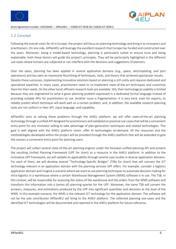



# 1.2 Concept

Following the overall vision for AI in Europe, the project will focus on planning technology and bring it to innovators and practitioners. On one side, AIPlan4EU will leverage the excellent research that Europe has funded and constructed over the years. Moreover, being a model-based technology, planning is particularly suited to ensure trust and being explainable: both these factors will guide the project's principles. They will be particularly highlighted in the different use-cases where humans are subjected or can interfere with the decisions and suggestions of planners.

Over the years, planning has been applied in several applicative domains (e.g., space, electroplating, and port operations) and has seen an impressive flourishing of techniques, tools, and theory that achieved spectacular results. Despite these successes, implementing innovative solutions based on planning is still costly and requires dedicated and specialized expertise. In many cases, practitioners need to re-implement state-of-the-art techniques and customize them for their needs. On the other hand, efficient research tools are available. Still, their technological usability is limited because they are engineered to solve a given planning problem expressed in a dedicated formal language instead of providing suitable APIs for practitioners to use. Another issue is fragmentation: it is very hard, even for experts, to reliably predict which technique will work well on a certain problem, and, in addition, the available research planning tools are not uniform in their API, input language, and capability.

AIPlan4EU aims at solving these problems through the AI4EU platform: we will offer state-of-the-art planning technology through a unified API designed for practitioners and validated on practical use-cases that will be a convenient entry-point for any innovator willing to take advantage of plan-generation techniques and related technologies. This goal is well aligned with the AI4EU platform vision: offer AI technologies on-demand. All the resources and the methodologies developed within the project will be provided through the AI4EU platform that will be extended to give the novices a convenient entry point for planning users.

The project will collect several state-of-the-art planning engines under the foreseen unified planning API and present the resulting Unified Planning Framework (UPF for short) as a resource in the AI4EU platform. In addition to the innovative UPF framework, we will validate its applicability through several case studies in diverse application domains. For each of them, we will develop several "Technology-Specific Bridges" (TSBs for short) that will connect the ICT technology relevant in an application domain with the planning services UPF offers. For example, consider a logistics application domain and imagine a scenario where we want to use planning techniques to automate decision-making for intra-logistics in a warehouse where a certain Warehouse Management System (WMS) software is in use. The TSB, in this context, will be responsible for assessing the status of the warehouse and the orders from the WMS software and transform this information into a (series of) planning queries for the UPF. Moreover, the same TSB will convert the answers, measures, and estimations produced by the UPF into significant quantities and decisions at the level of the WMS. In this example scenario, the WMS is the relevant ICT technology for the application domain. The software will not be the sole contribution AIPlan4EU will bring to the AI4EU platform. The collected planning use-cases and the identified ICT technologies will be documented and reported in the AI4EU platform for future reference.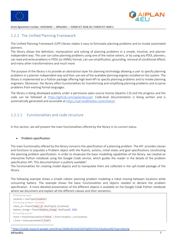



# 1.2.1 The Unified Planning Framework

The Unified Planning Framework (UPF) library makes it easy to formulate planning problems and to invoke automated planners.

The library allows the definition, manipulation and solving of planning problems in a simple, intuitive, and planner independent way. The user can solve planning problems using one of the native solvers, or by using any PDDL planners, can read and write problems in PDDL (or ANML) format, can use simplification, grounding, removal of conditional effects and many other transformations and much more.

The purpose of the library is to provide an abstraction layer for planning technology allowing a user to specify planning problems in a planner independent way and then use one of the available planning engines installed on the system. The library is implemented as a Python package offering high level API to specify planning problems and to invoke planning engineers. Moreover, the library offers functionalities for transforming and simplifying planning problems and to parse problems from existing formal languages.

The library is being developed publicly under a permissive open-source license (Apache 2.0) and the progress and the code can be followed at https://github.com/aiplan4eu/upf. Code-level documentation is being written and is automatically generated and accessible at https://upf.readthedocs.io/en/latest/

# 1.2.1.1 Functionalities and code structure

In this section, we will present the main functionalities offered by the library in its current status.

### • Problem specification

The main functionality offered by the library concerns the specification of a planning problem. The API provides classes and functions to populate a Problem object with the fluents, actions, initial states and goal specifications constituting the planning problem specification. In order to showcase the basic modelling capabilities of the library, we created an interactive Python notebook using the Google Colab service, which guides the reader in the details of the problem specification API. This documentation is publicly available $^1$ .

The functionalities for creating model objects and to manipulate them are collected in the upf.model package of the library.

The following example shows a simple robotic planning problem modeling a robot moving between locations while consuming battery. The example shows the basic functionalities and objects needed to declare the problem specification. A more detailed presentation of the different objects is available on the Google Colab Python notebook where we document and explain all the different classes and their semantics.

 # Declaring types Location = UserType('Location') # Creating problem 'variables' robot  $at =$  Fluent('robot  $at'$ , BoolType(), [Location]) battery charge = Fluent('battery charge', RealType(0, 100)) # Creating actions move = InstantaneousAction('move', l\_from=Location, l\_to=Location) l\_from = move.parameter('l\_from')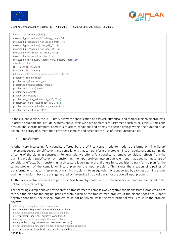



l\_to = move.parameter('l\_to') move.add\_precondition(GE(battery\_charge, 10)) move.add\_precondition(Not(Equals(l\_from, l\_to))) move.add\_precondition(robot\_at(l\_from)) move.add\_precondition(Not(robot\_at(l\_to))) move.add\_effect(robot\_at(l\_from), False) move.add\_effect(robot\_at(l\_to), True) move.add effect(battery charge, Minus(battery charge, 10)) # Declaring objects l1 = Object('l1', Location) l2 = Object('l2', Location) # Populating the problem with initial state and goals problem = Problem('robot') problem.add\_fluent(robot\_at) problem.add fluent(battery charge) problem.add\_action(move) problem.add\_object(l1) problem.add\_object(l2) problem.set\_initial\_value(robot\_at(l1), True) problem.set\_initial\_value(robot\_at(l2), False) problem.set\_initial\_value(battery\_charge, 100) problem.add\_goal(robot\_at(l2))

In the current version, the UPF library allows the specification of classical, numerical, and temporal planning problems. In order to support the latitude expressiveness levels we have operators for arithmetic such as plus minus times and division and specific temporal operators to attach conditions and effects to specific timings within the duration of an action. The library documentation provides examples and describes the use of these functionalities.

### **Transformers**

Another very interesting functionality offered by the UPF concerns model-to-model transformation. The library implements several simplifications and compilations that can transform one problem into an equivalent one getting rid of some of the planning constructs. For example, we offer a functionality to remove conditional effects from the planning problem specification by transforming the input problem into an equivalent one that does not make use of conditional effects. Our transforming architecture is very general and offers functionalities to transform a plan for the target problem of the compilation into a plan for the input problem. This allows the creation of pipelines of transformations that can map an input planning problem into an equivalent one supported by a target planning engine and then transform back the plan generated by the engine into a valid plan for the overall input problem.

All the available transformers are part of a class hierarchy rooted in the Transformer class and are contained in the upf.transformers package.

The following example shows how to create a transformer to compile away negative conditions from a problem and to retrieve the plan for the original problem from a plan of the transformed problem. If the planner does not support negative conditions, the original problem could not be solved, while the transformer allows us to solve the problem anyway.

 # Creating the negative conditions remover neg\_remover = NegativeConditionsRemover(problem) # Checking that the problem has negative conditions assert problem.kind().has\_negative\_conditions() # Asking the transformer to get the new problem new problem = neg\_remover.get\_rewritten\_problem() # Checking that the new problem does not have negative conditions assert not new\_problem.kind().has\_negative\_conditions()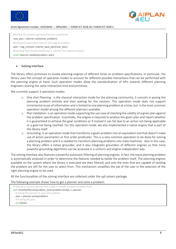



 #Solving the problem generated by the transformer new\_plan = planner.solve(new\_problem) #Getting the equivalent plan for the original problem plan = neg\_remover.rewrite\_back\_plan(new\_plan) #Checking that the generated plan is valid for the original problem assert planner.validate(problem, plan)

### Solving Interface

The library offers primitives to invoke planning engines of different kinds on problem specifications. In particular, the library uses the concept of operation modes to account for different possible interactions that can be performed with the planning engine at hand. Such operation modes allow the standardization of APIs towards different planning engineers sharing the same interaction kind and primitives.

We currently support 3 operation modes:

- o One shot Planning: is the classical interaction mode for the planning community, it consists in posing the planning problem entirely and then waiting for the solution. This operation mode does not support incremental reuse of information and is limited to one planning problem at a time, but is the most common operation model among the different planners available.
- o Plan Validation: is an operation mode supporting the use case of checking the validity of a given plan against the problem specification. Essentially, the engine is required to analyse the given plan and report whether it is guaranteed to achieve the goal conditions or if instead it can fail due to an action not being applicable or a goal not being reached. For this operation mode, we also implemented a native engine that is part of the library itself.
- o Grounding: Is an operation mode that transforms a given problem into an equivalent one that doesn't make use of action parameters or first order predicates. This is a very common operation to be done for solving a planning problem and it is needed to transform planning problems into state machines. Also in this case, the library offers a native grounder, and it also integrates grounders of different engines so that more powerful grounding algorithms can be accessed in a uniform and engine-independent way.

The solving interface also features a powerful automatic filtering of planning engines. In fact, the input planning problem is automatically analysed in order to determine the features needed to tackle the problem itself. The planning engines available on the system where the library is executed are then filtered, and only the ones that are capable of tackling the problem are left for the user to select from. This mechanism simplifies the job of the user in the selection of the right planning engine to be used.

All the functionalities of the solving interface are collected under the upf.solvers package.

The following example shows how to get a planner and solve a problem.

```
 # Getting a oneshot planner that is able to handle the given problem kind
with OneshotPlanner(problem_kind=problem.kind()) as planner:
   # Asking the planner to solve the problem
   plan = planner.solve(problem)
   # Printing the plan
   print(plan)
```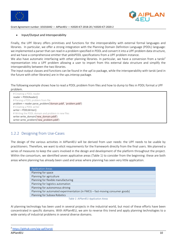



### • Input/Output and Interoperability

Finally, the UPF library offers primitives and functions for the interoperability with external formal languages and libraries. In particular, we offer a strong integration with the Planning Domain Definition Language (PDDL) language: we implemented a parser that can read in a problem specified in PDDL and convert it into a UPF problem data structure, and we have a comprehensive emitter that yeldsPDDL specifications from a UPF problem instance.

We also have automatic interfacing with other planning libraries. In particular, we have a conversion from a tarski<sup>2</sup> representation into a UPF problem allowing a user to import from this external data structure and simplify the interoperability between the two libraries.

The input-output classes and functions can be found in the upf.io package, while the interoperability with tarski (and in the future with other libraries) are in the ups.interop package.

The following example shows how to read a PDDL problem from files and how to dump to files in PDDL format a UPF problem.

 # Creating a PDDL reader reader = PDDLReader() # Parsing a PDDL problem from file problem = reader.parse\_problem('domain.pddl', 'problem.pddl') # Creating a PDDL writer writer = PDDLWriter() # Writing the PDDL domain and problem in new files writer.write\_domain('new\_domain.pddl') writer.write\_problem('new\_problem.pddl')

# 1.2.2 Designing from Use-Cases

The design of the various activities in AIPlan4EU will be derived from user needs: the UPF needs to be usable by practitioners. Therefore, we want to elicit requirements for the framework directly from the final users. We planned a series of measures to keep the users involved in the design and development of the platform throughout the project. Within the consortium, we identified seven applicative areas (Table 1) to consider from the beginning: these are both areas where planning has already been used and areas where planning has seen very little application.

| <b>Application Areas</b>                                                      |
|-------------------------------------------------------------------------------|
| Planning for space                                                            |
| Planning for agriculture                                                      |
| Planning for flexible manufacturing                                           |
| Planning for logistics automation                                             |
| Planning for autonomous driving                                               |
| Planning for automated experimentation (in FMCG - fast-moving consumer goods) |
| Planning for Subsea Robotics                                                  |

*Table 1: AIPlan4EU Application Areas*

AI planning technology has been used in several projects in the industrial world, but most of these efforts have been concentrated in specific domains. With AIPlan4EU, we aim to reverse this trend and apply planning technologies to a wide variety of industrial problems in several diverse domains.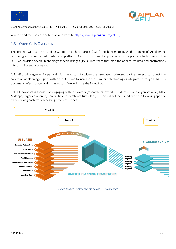



You can find the use-case details on our website https://www.aiplan4eu-project.eu/

# 1.3 Open Calls Overview

The project will use the Funding Support to Third Parties (FSTP) mechanism to push the uptake of AI planning technologies through an AI on-demand platform (AI4EU). To connect applications to the planning technology in the UPF, we envision several technology-specific bridges (TSBs): interfaces that map the applicative data and abstractions into planning and vice versa.

AIPan4EU will organize 2 open calls for innovators to widen the use-cases addressed by the project, to robust the collection of planning engines within the UPF, and to increase the number of technologies integrated through TSBs. This document refers to open call 1 Innovators. We will issue the following:

Call 1 Innovators is focused on engaging with innovators (researchers, experts, students,…) and organisations (SMEs, MidCaps, larger companies, universities, research institutes, labs,…). This call will be issued, with the following specific tracks having each track accessing different scopes.



*Figure 1: Open Call tracks in the AIPLan4EU architecture*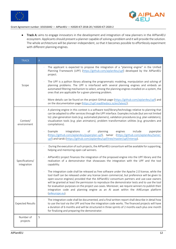



● Track A: aims to engage innovators in the development and integration of new planners in the AIPlan4EU ecosystem. Applicants should present a planner capable of solving a problem and it will provide the solution. The whole architecture will be planner-independent, so that it becomes possible to effortlessly experiment with different planning engines.

| <b>TRACK</b>                   | $\mathsf{A}% _{\mathsf{A}}^{\prime}=\mathsf{A}_{\mathsf{A}}^{\prime}$                                                                                                                                                                                                                                                                                                                                                                                                                                                                                                                                        |
|--------------------------------|--------------------------------------------------------------------------------------------------------------------------------------------------------------------------------------------------------------------------------------------------------------------------------------------------------------------------------------------------------------------------------------------------------------------------------------------------------------------------------------------------------------------------------------------------------------------------------------------------------------|
|                                | The applicant is expected to propose the integration of a "planning engine" in the Unified<br>Planning Framework (UPF) (https://github.com/aiplan4eu/upf) developed by the AIPlan4EU<br>project.                                                                                                                                                                                                                                                                                                                                                                                                             |
| Scope                          | The UPF is a python library allowing the programmatic modeling, manipulation and solving of<br>planning problems. The UPF is interfaced with several planning engines and embeds an<br>automated filtering mechanism to select, among the planning engines installed on a system, the<br>ones that are applicable for a given planning problem.                                                                                                                                                                                                                                                              |
|                                | More details can be found on the project GitHub page (https://github.com/aiplan4eu/upf) and<br>on the documentation page (https://upf.readthedocs.io/en/latest/).                                                                                                                                                                                                                                                                                                                                                                                                                                            |
| Context/<br>environment        | A planning engine in this context is a software tool/library/technology relative to planning that<br>can be adapted to offer services through the UPF interface. Examples include (but are not limited<br>to): plan generation tools (e.g. automated planners), validation procedures (e.g. plan validators),<br>visualization tools (e.g. plan animators), problem transformation utilities (e.g. grounders and<br>compilations).                                                                                                                                                                           |
|                                | planning<br>Example<br>integrations<br>of<br>engines<br>include<br>pyperplan<br>(https://github.com/aiplan4eu/pyperplan-upf), tamer (https://github.com/aiplan4eu/tamer-<br>upf) and tarski (https://github.com/aiplan4eu/upf/tree/master/upf/interop).                                                                                                                                                                                                                                                                                                                                                      |
|                                | During the execution of such projects, the AIPlan4EU consortium will be available for supporting,<br>helping and mentoring open call winners.                                                                                                                                                                                                                                                                                                                                                                                                                                                                |
| Specifications/<br>integration | AIPlan4EU project finances the integration of the proposed engine into the UPF library and the<br>realization of a demonstrator that showcases the integration with the UPF and the tool<br>capability.                                                                                                                                                                                                                                                                                                                                                                                                      |
|                                | The integration code shall be released as free software under the Apache 2.0 license, while the<br>tool itself can be released under any license (even commercial, but preference will be given to<br>open-source engines) provided that the AIPlan4EU consortium partners and use-case owners<br>will be granted at least the permission to reproduce the demonstrator tests and to use the tool<br>for evaluation purposes on the project use-cases. Moreover, we require winners to publish their<br>integration code and planning engine as an AI asset within the AI4Europe platform<br>(ai4europe.eu). |
| <b>Expected Results</b>        | The integration code shall be documented, and a final written report shall describe in detail how<br>to use the tool via the UPF and how the integration code works. The financed projects will have<br>a duration of 6 months and will be structured in three sprints of 2 months each plus one month<br>for finalizing and preparing the demonstrator.                                                                                                                                                                                                                                                     |
| Number of<br>projects          | 5                                                                                                                                                                                                                                                                                                                                                                                                                                                                                                                                                                                                            |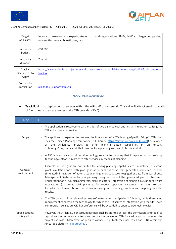



| Target<br>Applicants             | Innovators (researchers, experts, students,) and organisations (SMEs, MidCaps, larger companies,<br>universities, research institutes, labs,) |
|----------------------------------|-----------------------------------------------------------------------------------------------------------------------------------------------|
| Indicative<br>budget             | €60.000                                                                                                                                       |
| Indicative<br>duration           | 7 months                                                                                                                                      |
| Track A<br>Documents to<br>Apply | https://www.aiplan4eu-project.eu/call-for-use-cases/open-call-1-for-innovators/#call-1-for-innovators-<br>track-A                             |
| Contact for<br>clarification     | aiplan4eu support@fbk.eu                                                                                                                      |

*Table 2: Track A specification*

● Track B: aims to deploy new use-cases within the AIPlan4EU framework. This call will attract small consortia of 2 entities: a use-case owner and a TSB provider (SME).

| <b>TRACK</b>                   | B                                                                                                                                                                                                                                                                                                                                                                                                                                                                                                                                                                                                                                                                                                                                  |
|--------------------------------|------------------------------------------------------------------------------------------------------------------------------------------------------------------------------------------------------------------------------------------------------------------------------------------------------------------------------------------------------------------------------------------------------------------------------------------------------------------------------------------------------------------------------------------------------------------------------------------------------------------------------------------------------------------------------------------------------------------------------------|
|                                | The application is reserved to partnerships of two distinct legal entities: an integrator realizing the<br>TSB and a use-case provider.                                                                                                                                                                                                                                                                                                                                                                                                                                                                                                                                                                                            |
| Scope                          | The applicant is expected to propose the integration of a "Technology-Specific Bridge" (TSB) that<br>uses the Unified Planning Framework (UPF) library (https://github.com/aiplan4eu/upf) developed<br>project to offer<br>planning-related capabilities<br>AIPlan4EU<br>by the<br>in an<br>existing<br>technology/tool/framework that is useful for a planning use case to be presented.                                                                                                                                                                                                                                                                                                                                          |
|                                | A TSB is a software tool/library/technology relative to planning that integrates into an existing<br>technology/software in order to offer services by means of planning.                                                                                                                                                                                                                                                                                                                                                                                                                                                                                                                                                          |
| Context/<br>environment        | Examples include (but are not limited to): adding planning capabilities to simulators (i.e. extend<br>$\bullet$<br>plant simulation tools with plan generation capabilities so that generated plans can then be<br>simulated), integration of automated planning in logistics tools (e.g. gather data from Warehouse<br>Management Systems to form a planning query and report the generated plan to the user),<br>visualization tools (e.g. plan animators, plan simulators), integration of planning in existing software<br>ecosystems (e.g. wrap UPF planning for robotic operating systems), translating existing<br>formalisms/software libraries for decision making into planning problem and mapping-back the<br>results. |
|                                | The TSB code shall be released as free software under the Apache 2.0 license, while there is no<br>requirement concerning the technology for which the TSB serves as integration with the UPF (even<br>commercial licenses are OK, but preference will be accorded to open-source technologies).                                                                                                                                                                                                                                                                                                                                                                                                                                   |
| Specifications/<br>integration | However, the AIPlan4EU consortium partners shall be granted at least the permission (and tools) to<br>$\bullet$<br>reproduce the demonstrator tests and to use the developed TSB for evaluation purposes on the<br>project use-cases. Moreover, we require winners to publish their use cases and TSBs within the<br>AI4Europe platform (ai4europe.eu).                                                                                                                                                                                                                                                                                                                                                                            |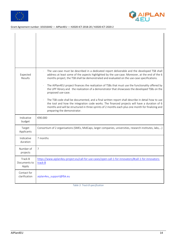



| Expected<br>Results              | The use-case must be described in a dedicated report deliverable and the developed TSB shall<br>address at least some of the aspects highlighted by the use-case. Moreover, at the end of the 6<br>months project, the TSB shall be demonstrated and evaluated on the use-case specifications.<br>The AIPlan4EU project finances the realization of TSBs that must use the functionality offered by<br>the UPF library and the realization of a demonstrator that showcases the developed TSBs on the<br>proposed use-case.<br>The TSB code shall be documented, and a final written report shall describe in detail how to use<br>the tool and how the integration code works. The financed projects will have a duration of 6<br>months and will be structured in three sprints of 2 months each plus one month for finalizing and<br>preparing the demonstrator. |  |
|----------------------------------|---------------------------------------------------------------------------------------------------------------------------------------------------------------------------------------------------------------------------------------------------------------------------------------------------------------------------------------------------------------------------------------------------------------------------------------------------------------------------------------------------------------------------------------------------------------------------------------------------------------------------------------------------------------------------------------------------------------------------------------------------------------------------------------------------------------------------------------------------------------------|--|
| Indicative<br>budget             | €90.000                                                                                                                                                                                                                                                                                                                                                                                                                                                                                                                                                                                                                                                                                                                                                                                                                                                             |  |
| Target<br>Applicants             | Consortium of 2 organisations (SMEs, MidCaps, larger companies, universities, research institutes, labs,)                                                                                                                                                                                                                                                                                                                                                                                                                                                                                                                                                                                                                                                                                                                                                           |  |
| Indicative<br>duration           | 7 months                                                                                                                                                                                                                                                                                                                                                                                                                                                                                                                                                                                                                                                                                                                                                                                                                                                            |  |
| Number of<br>projects            | $\overline{7}$                                                                                                                                                                                                                                                                                                                                                                                                                                                                                                                                                                                                                                                                                                                                                                                                                                                      |  |
| Track B<br>Documents to<br>Apply | https://www.aiplan4eu-project.eu/call-for-use-cases/open-call-1-for-innovators/#call-1-for-innovators-<br>track-B                                                                                                                                                                                                                                                                                                                                                                                                                                                                                                                                                                                                                                                                                                                                                   |  |
| Contact for<br>clarification     | aiplan4eu support@fbk.eu                                                                                                                                                                                                                                                                                                                                                                                                                                                                                                                                                                                                                                                                                                                                                                                                                                            |  |

*Table 3: Track B specification*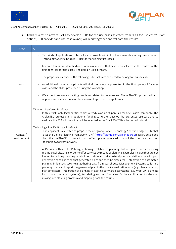



● Track C: aims to attract SMEs to develop TSBs for the use-cases selected from "Call for use-cases". Both entities, TSB provider and use-case owner, will work together and validate the results.

| <b>TRACK</b>            | $\mathsf C$                                                                                                                                                                                                                                                                                                                                                                                                                                                                                                                                                                                                                                                                                                                                                                                                                                                                                        |
|-------------------------|----------------------------------------------------------------------------------------------------------------------------------------------------------------------------------------------------------------------------------------------------------------------------------------------------------------------------------------------------------------------------------------------------------------------------------------------------------------------------------------------------------------------------------------------------------------------------------------------------------------------------------------------------------------------------------------------------------------------------------------------------------------------------------------------------------------------------------------------------------------------------------------------------|
|                         | Two kinds of applications (sub-tracks) are possible within this track, namely winning use-cases and<br>Technology Specific Bridges (TSBs) for the winning use-cases.                                                                                                                                                                                                                                                                                                                                                                                                                                                                                                                                                                                                                                                                                                                               |
|                         | For both tracks, we identified one domain of interest that have been selected in the context of the<br>first open-call for use-cases. The domain is Healthcare.                                                                                                                                                                                                                                                                                                                                                                                                                                                                                                                                                                                                                                                                                                                                    |
|                         | The proposals in either of the following sub-tracks are expected to belong to this use case.                                                                                                                                                                                                                                                                                                                                                                                                                                                                                                                                                                                                                                                                                                                                                                                                       |
| Scope                   | As additional material, applicants will find the use-case presented in the first open-call for use-<br>cases and the slides presented during the workshop.                                                                                                                                                                                                                                                                                                                                                                                                                                                                                                                                                                                                                                                                                                                                         |
|                         | We expect proposals attacking problems related to the use-case. The AIPlan4EU project will also<br>organize webinars to present the use-case to prospective applicants.                                                                                                                                                                                                                                                                                                                                                                                                                                                                                                                                                                                                                                                                                                                            |
|                         | Winning Use-Cases Sub-Track<br>In this track, only legal entities which already won an "Open Call for Use-Cases" can apply. The<br>Alplan4EU project grants additional funding to further develop the presented use-case and to<br>evaluate the TSB solutions that will be selected in the Track C - TSBs sub-track of this call.                                                                                                                                                                                                                                                                                                                                                                                                                                                                                                                                                                  |
| Context/<br>environment | Technology Specific Bridge Sub-Track<br>The applicant is expected to propose the integration of a "Technology-Specific Bridge" (TSB) that<br>uses the Unified Planning Framework (UPF) (https://github.com/aiplan4eu/upf) library developed<br>project to offer planning-related capabilities in an<br>by the AlPlan4EU<br>existing<br>technology/tool/framework.                                                                                                                                                                                                                                                                                                                                                                                                                                                                                                                                  |
|                         | A TSB is a software tool/library/technology relative to planning that integrates into an existing<br>technology/software in order to offer services by means of planning. Examples include (but are not<br>limited to): adding planning capabilities to simulators (i.e. extend plant simulation tools with plan<br>generation capabilities so that generated plans can then be simulated), integration of automated<br>planning in logistics tools (e.g. gathering data from Warehouse Management Systems to form a<br>planning query and report the generated plan to the user), visualization tools (e.g. plan animators,<br>plan simulators), integration of planning in existing software ecosystems (e.g. wrap UPF planning<br>for robotic operating systems), translating existing formalisms/software libraries for decision<br>making into planning problem and mapping-back the results. |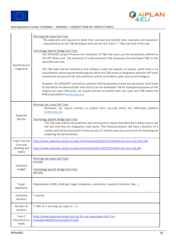



| Specifications/<br>integration                            | Winning Use-Cases Sub-Track<br>The applicants are required to detail their use-case and provide data, examples and evaluation<br>$\epsilon$<br>measurements to the TSB developers that will win the Track C - TSBs sub-track of this call.<br>Technology Specific Bridge Sub-Track<br>The AIPlan4EU project finances the realization of TSBs that must use the functionality offered by<br>the UPF library and the realization of a demonstrator that showcases the developed TSBs on the<br>identified use-case.<br>The TSB code shall be released as free software under the Apache 2.0 license, while there is no<br>requirement concerning the technology for which the TSB serves as integration with the UPF (even<br>commercial licenses are OK, but preference will be accorded to open-source technologies).<br>However, the AIPlan4EU consortium partners shall be granted at least the permission (and tools)<br>to reproduce the demonstrator tests and to use the developed TSB for evaluation purposes on the<br>project use-cases. Moreover, we require winners to publish their use cases and TSBs within the<br>AI4Europe platform (ai4europe.eu). |
|-----------------------------------------------------------|---------------------------------------------------------------------------------------------------------------------------------------------------------------------------------------------------------------------------------------------------------------------------------------------------------------------------------------------------------------------------------------------------------------------------------------------------------------------------------------------------------------------------------------------------------------------------------------------------------------------------------------------------------------------------------------------------------------------------------------------------------------------------------------------------------------------------------------------------------------------------------------------------------------------------------------------------------------------------------------------------------------------------------------------------------------------------------------------------------------------------------------------------------------------|
| Expected<br>Results                                       | Winning Use-Cases Sub-Track<br>Moreover, we require winners to publish their use-case within the AI4Europe platform<br>(ai4europe.eu).<br>Technology Specific Bridge Sub-Track<br>The TSB code shall be documented, and a final written report shall describe in detail how to use<br>the tool and how the integration code works. The financed projects will have a duration of 6<br>months and will be structured in three sprints of 2 months each plus one month for finalizing and<br>preparing the demonstrator.                                                                                                                                                                                                                                                                                                                                                                                                                                                                                                                                                                                                                                              |
| Track C Kit link<br>(use-case<br>detailing and<br>slides) | https://www.aiplan4eu-project.eu/wp-content/uploads/2022/02/Healthcare-Use-Case-Pitch.pdf<br>https://www.aiplan4eu-project.eu/wp-content/uploads/2022/02/Healthcare-Use-Case.pdf                                                                                                                                                                                                                                                                                                                                                                                                                                                                                                                                                                                                                                                                                                                                                                                                                                                                                                                                                                                    |
| Indicative<br>budget                                      | Winning Use-Cases Sub-Track<br>€30.000<br>Technology Specific Bridge Sub-Track<br>€60.000                                                                                                                                                                                                                                                                                                                                                                                                                                                                                                                                                                                                                                                                                                                                                                                                                                                                                                                                                                                                                                                                           |
| Target<br>Applicants                                      | Organisations (SMEs, MidCaps, larger companies, universities, research institutes, labs,)                                                                                                                                                                                                                                                                                                                                                                                                                                                                                                                                                                                                                                                                                                                                                                                                                                                                                                                                                                                                                                                                           |
| Indicative<br>duration                                    | 7 months                                                                                                                                                                                                                                                                                                                                                                                                                                                                                                                                                                                                                                                                                                                                                                                                                                                                                                                                                                                                                                                                                                                                                            |
| Number of<br>projects                                     | 1 TSBs for 1 winning use-cases $(1 + 1)$                                                                                                                                                                                                                                                                                                                                                                                                                                                                                                                                                                                                                                                                                                                                                                                                                                                                                                                                                                                                                                                                                                                            |
| Track C<br>Documents to<br>Apply                          | https://www.aiplan4eu-project.eu/call-for-use-cases/open-call-1-for-<br>innovators/#Call1ForInnovatorsTrackC                                                                                                                                                                                                                                                                                                                                                                                                                                                                                                                                                                                                                                                                                                                                                                                                                                                                                                                                                                                                                                                        |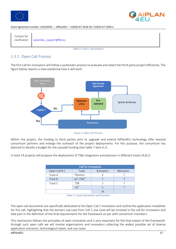





*Table 4: Track C specification*

# 1.3.1 Open Call Process

The first call for innovators will follow a systematic process to evaluate and select the third-party project efficiently. The figure below reports a view explaining how it will work.



*Figure 2: Open Call Process*

Within the project, the funding to third parties aims to upgrade and extend AIPlan4EU technology offer beyond consortium partners and enlarge the outreach of the project deployments. For this purpose, the consortium has planned to devote a budget for the cascade funding (See table 7 item 6.2).

In total 14 projects will propose the deployment of TSBs integrators and planners in different tracks (A,B,C).

| <b>Call for Innovators</b> |                            |            |           |  |
|----------------------------|----------------------------|------------|-----------|--|
| Open Call #1               | Topic                      | # projects | #duration |  |
| Track A                    | Planners                   |            |           |  |
| Track B                    | $UC^*+TSB^{**}$            |            |           |  |
| Track C                    | <b>TSB</b>                 |            |           |  |
|                            | $\overline{\mathsf{IC}}^*$ |            |           |  |
|                            |                            | 14         |           |  |

*Table 5: Tracks Distribution and Duration*

The open call documents are specifically dedicated to the Open Call 1 Innovators and outline the application modalities for this call, highlighting that the winners use-case from Call 1 Use Case will be involved in the call for innovators and take part in the definition of the final requirements for the framework on par with consortium members.

This mechanism follows the principles of open innovation and is very important for the final impact of the framework: through such open calls we will involve organisations and innovators collecting the widest possible set of diverse application scenarios, technological needs, and use-cases.

AIPlan4EU 17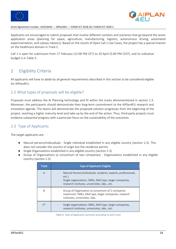



Applicants are encouraged to submit proposals that involve different contexts and scenarios that go beyond the seven application areas (planning for space, agriculture, manufacturing, logistics, autonomous driving, automated experimentation, and subsea robotics). Based on the results of Open Call 1 Use-Cases, the project has a special interest on the healthcare domain in Track C.

Call 1 is open for submission from 17 February (12:00 PM CET) to 20 April (5:00 PM CEST), and its indicative budget is in Table 5.

# 2 Eligibility Criteria

All applicants will have to abide by all general requirements described in this section to be considered eligible for AIPlan4EU.

# 2.2 What types of proposals will be eligible?

Proposals must address the AI Planning technology and fit within the tracks aforementioned in section 1.3. Moreover, the participants should demonstrate their long-term commitment to the AIPlan4EU research and innovation agenda. The teams will demonstrate the proposed solution progresses from the beginning of the project, reaching a higher maturity level and take-up by the end of the action. Thus, third-party projects must evidence substantial progress with a particular focus on the sustainability of the outcomes.

# 2.3 Type of Applicants

The target applicants are:

- Natural persons/Indivuduals Single individual established in any eligible country (section 2.3). This does not consider the country of origin but the residence permit.
- Single Organisations established in any eligible country (section 2.3)
- Group of Organisations (a consortium of two companies) Organisations established in any eligible country (section 2.3).

| <b>Track</b> | <b>Type of Applicants Eligible</b>                                                                                                                                                      |
|--------------|-----------------------------------------------------------------------------------------------------------------------------------------------------------------------------------------|
| A            | Natural Persons/Individuals: students, experts, professionals,<br>$etc.$ )<br>Single organisations: SMEs, Mid Caps, larger companies,<br>research institutes, universities, labs., etc. |
| <sub>B</sub> | Group of Organisation (a consortium of 2 companies<br>maximum): SMEs, Mid Caps, larger companies, research<br>institutes, universities, labs.                                           |
| ⌒∗           | Single organisations: SMEs, Mid Caps, larger companies,<br>research institutes, universities, labs., etc.                                                                               |

*Table 6: Type of Applicants Summary according to each track*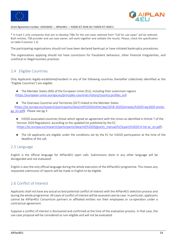



\* In track C only companies that aim to develop TSBs for the use-cases selected from "Call for use-cases" will be selected. Both entities, TSB provider and use-case owner, will work together and validate the results. Please, check the specification on table 4 (section 1.3)

The participating organisations should not have been declared bankrupt or have initiated bankruptcy procedures.

The organisations applying should not have convictions for fraudulent behaviour, other financial irregularities, and unethical or illegal business practices.

# 2.4 Eligible Countries

Only Applicants legally-established/resident in any of the following countries (hereafter collectively identified as the "Eligible Countries") are eligible:

● The Member States (MS) of the European Union (EU), including their outermost regions (https://european-union.europa.eu/principles-countries-history/country-profiles\_en)

● The Overseas Countries and Territories (OCT) linked to the Member States (https://ec.europa.eu/research/participants/data/ref/h2020/other/wp/2018-2020/annexes/h2020-wp1820-annexga\_en.pdf) . Please see pg 3.

- H2020 associated countries (those which signed an agreement with the Union as identified in Article 7 of the Horizon 2020 Regulation): according to the updated list published by the EC (https://ec.europa.eu/research/participants/data/ref/h2020/grants\_manual/hi/3cpart/h2020-hi-list-ac\_en.pdf).
- The UK applicants are eligible under the conditions set by the EC for H2020 participation at the time of the deadline of the call.

### 2.5 Language

English is the official language for AIPlan4EU open calls. Submissions done in any other language will be disregarded and not evaluated.

English is also the only official language during the whole execution of the AIPlan4EU programme. This means any requested submission of reports will be made in English to be eligible.

# 2.6 Conflict of Interest

Applicants shall not have any actual or/and potential conflict of interest with the AIPlan4EU selection process and during the whole programme. All cases of conflict of interest will be assessed case by case. In particular, applicants cannot be AIPlan4EU Consortium partners or affiliated entities nor their employees or co-operators under a contractual agreement.

Suppose a conflict of interest is discovered and confirmed at the time of the evaluation process. In that case, the use-case proposal will be considered as non-eligible and will not be evaluated.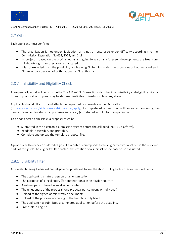



# 2.7 Other

Each applicant must confirm:

- The organisation is not under liquidation or is not an enterprise under difficulty accordingly to the Commission Regulation No 651/2014, art. 2.18.
- Its project is based on the original works and going forward, any foreseen developments are free from third-party rights, or they are clearly stated.
- It is not excluded from the possibility of obtaining EU funding under the provisions of both national and EU law or by a decision of both national or EU authority.

# 2.8 Admissibility and Eligibility Check

The open call period will be two months. The AIPlan4EU Consortium staff checks admissibility and eligibility criteria for each proposal. A proposal may be declared ineligible or inadmissible at any stage.

Applicants should fill a form and attach the requested documents via the F6S platform (https://www.f6s.com/aiplan4eu-oc-1-innovators/apply). A complete list of proposers will be drafted containing their basic information for statistical purposes and clarity (also shared with EC for transparency).

To be considered admissible, a proposal must be:

- Submitted in the electronic submission system before the call deadline (F6S platform).
- Readable, accessible, and printable.
- Complete and upload the template proposal file.

A proposal will only be considered eligible if its content corresponds to the eligibility criteria set out in the relevant parts of this guide. An eligibility filter enables the creation of a shortlist of use-case to be evaluated.

# 2.8.1 Eligibility filter

Automatic filtering to discard non-eligible proposals will follow the shortlist. Eligibility criteria check will verify:

- The applicant is a natural person or an organization.
- The existence of a legal entity (for organisations) in an eligible country.
- A natural person based in an eligible country.
- The uniqueness of the proposal (one proposal per company or individual)
- Upload of the signed administrative documents
- Upload of the proposal according to the template duly filled.
- The applicant has submitted a completed application before the deadline.
- Proposals in English.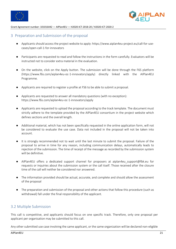



# 3 Preparation and Submission of the proposal

- Applicants should access the project website to apply: https://www.aiplan4eu-project.eu/call-for-usecases/open-call-1-for-innovators
- Participants are requested to read and follow the instructions in the form carefully. Evaluators will be instructed not to consider extra material in the evaluation.
- On the website, click on the Apply button. The submission will be done through the F6S platform (https://www.f6s.com/aiplan4eu-oc-1-innovators/apply) directly linked with the AIPlan4EU Programme.
- Applicants are required to register a profile at FS6 to be able to submit a proposal.
- Applicants are requested to answer all mandatory questions (with no exception): https://www.f6s.com/aiplan4eu-oc-1-innovators/apply
- Applicants are requested to upload the proposal according to the track template. The document must strictly adhere to the template provided by the AIPlan4EU consortium in the project website which defines sections and the overall length.
- Additional material, which has not been specifically requested in the online application form, will not be considered to evaluate the use case. Data not included in the proposal will not be taken into account.
- It is strongly recommended not to wait until the last minute to submit the proposal. Failure of the proposal to arrive in time for any reason, including communication delays, automatically leads to rejection of the submission. The time of receipt of the message as recorded by the submission system will be definitive.
- AIPlan4EU offers a dedicated support channel for proposers at aiplan4eu support@fbk.eu for requests or inquiries about the submission system or the call itself. Those received after the closure time of the call will neither be considered nor answered.
- The information provided should be actual, accurate, and complete and should allow the assessment of the proposal
- The preparation and submission of the proposal and other actions that follow this procedure (such as withdrawal) fall under the final responsibility of the applicant.

# 3.2 Multiple Submission

This call is competitive, and applicants should focus on one specific track. Therefore, only one proposal per applicant per organisation may be submitted to this call.

Any other submitted use case involving the same applicant, or the same organization will be declared non-eligible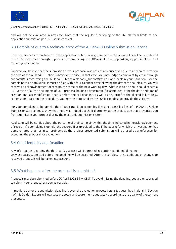



and will not be evaluated in any case. Note that the regular functioning of the F6S platform limits to one application submission per F6S user in each call.

# 3.3 Complaint due to a technical error of the AIPlan4EU Online Submission Service

If you experience any problem with the application submission system before the open call deadline, you should reach F6S by e-mail through support@f6s.com, cc'ing the AIPlan4EU Team aiplan4eu\_support@fbk.eu, and explain your situation.

Suppose you believe that the submission of your proposal was not entirely successful due to a technical error on the side of the AIPlan4EU Online Submission Service. In that case, you may lodge a complaint by email through support@f6s.com cc'ing the AIPlan4EU Team aiplan4eu\_support@fbk.eu and explain your situation. For the complaint to be admissible, it must be filed within four calendar days following the day of the call closure. You will receive an acknowledgment of receipt, the same or the next working day. What else to do? You should secure a PDF version of all the documents of your proposal holding a timestamp (file attributes listing the date and time of creation and last modification) that is before the call deadline, as well as any proof of the alleged failure (e.g., screenshots). Later in the procedure, you may be requested by the F6S IT Helpdesk to provide these items.

For your complaint to be upheld, the IT audit trail (application log files and access log files of AIPLAN4EU Online Submission Service) must show that there was indeed a technical problem at the project side that prevented you from submitting your proposal using the electronic submission system.

Applicants will be notified about the outcome of their complaint within the time indicated in the acknowledgment of receipt. If a complaint is upheld, the secured files (provided to the IT helpdesk) for which the investigation has demonstrated that technical problems at the project prevented submission will be used as a reference for accepting the proposal for evaluation.

### 3.4 Confidentiality and Deadline

Any information regarding the third-party use case will be treated in a strictly confidential manner. Only use cases submitted before the deadline will be accepted. After the call closure, no additions or changes to received proposals will be taken into account.

# 3.5 What happens after the proposal is submitted?

Proposals must be submitted before 20 April 2022 5 PM CEST. To avoid missing the deadline, you are encouraged to submit your proposal as soon as possible.

Immediately after the submission deadline is over, the evaluation process begins (as described in detail in Section 4 of this Guide). Experts will evaluate proposals and score them adequately according to the quality of the content presented.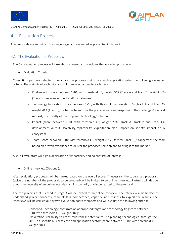



# 4 Evaluation Process

The proposals are submitted in a single stage and evaluated as presented in figure 2.

# 4.1 The Evaluation of Proposals

The Call evaluation process will take about 4 weeks and considers the following procedure:

**Evaluation Criteria:** 

Consortium partners selected to evaluate the proposals will score each application using the following evaluation criteria. The weights of each criterion will change according to each track:

- o Challenge fit [score between 1-10; with threshold >6; weight 40% (Track A and Track C); weight 40% (Track B)]: relevance to AIPlan4EU challenges.
- o Technology Innovation [score between 1-10; with threshold >6; weight 40% (Track A and Track C); weight 20% (Track B)]: potential to improve the preparedness and response to the challenges/open call request; the novelty of the proposed technology/ solution.
- o Impact [score between 1-10; with threshold >6; weight 20% (Track A, Track B and Track C)]: development output, scalability/replicability, exploitation plan, impact on society, impact on AI ecosystem.
- o Team [score between 1-10; with threshold >6; weight 20% (Only for Track B)]: capacity of the team based on proven experience to deliver the proposed solution and to bring it to the market.

Also, all evaluators will sign a declaration of impartiality and no conflicts of interest.

### Online Interview (Optional):

After evaluation, proposals will be ranked based on the overall score. If necessary, the top-ranked proposals (twice the number of the proposals to be selected) will be invited to an online interview. Partners will decide about the necessity of an online interview aiming to clarify any issue related to the proposal.

The top projects that succeed in stage 3 will be invited to an online interview. The interview aims to deeply understand project concepts, team skills & competence, capacity, and wiliness to exploit the results. The interviews will be carried out by two evaluation board members and will evaluate the following criteria:

- o Concept & Technology: confirmation of proposed targets and technology fit; [score between 1-10; with threshold >6 - weight 80%];
- o Exploitation: reliability to reach milestones; potential to use planning technologies, through the UPF, in a specific business-case and application sector; [score between 1-10; with threshold  $>6$  weight 20%].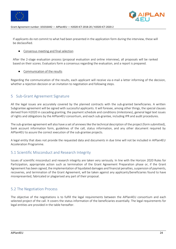



If applicants do not commit to what had been presented in the application form during the interview, these will be declassified.

### Consensus meeting and final selection

After the 2-stage evaluation process (proposal evaluation and online interview), all proposals will be ranked based on their scores. Evaluators form a consensus regarding the evaluation, and a report is prepared.

Communication of the results

Regarding the communication of the results, each applicant will receive via e-mail a letter informing of the decision, whether a rejection decision or an invitation to negotiation and following steps.

# 5 Sub-Grant Agreement Signature

All the legal issues are accurately covered by the planned contracts with the sub-granted beneficiaries. A written Subgrantee agreement will be signed with successful applicants. It will foresee, among other things, the special clauses derived from H2020 in cascading granting, the payment schedule and conditions (milestones), general legal text issues of rights and obligations by the AIPlan4EU consortium, and each sub-grantee, including IPR and audit procedures.

The sub-grantee agreement will also have a set of annexes like the technical description of the project (form submitted), bank account information form, guidelines of the call, status information, and any other document required by AIPlan4EU to assure the correct execution of the sub-grantee projects.

A legal entity that does not provide the requested data and documents in due time will not be included in AIPlan4EU Acceleration Programme.

# 5.1 Scientific Misconduct and Research Integrity

Issues of scientific misconduct and research integrity are taken very seriously. In line with the Horizon 2020 Rules for Participation, appropriate action such as termination of the Grant Agreement Preparation phase or, if the Grant Agreement has been signed, the implementation of liquidated damages and financial penalties, suspension of payments, recoveries, and termination of the Grant Agreement, will be taken against any applicants/beneficiaries found to have misrepresented, fabricated or plagiarised any part of their proposal.

# 5.2 The Negotiation Process

The objective of the negotiations is to fulfill the legal requirements between the AIPlan4EU consortium and each selected project of the call. It covers the status information of the beneficiaries essentially. The legal requirements for legal entities are provided in the table hereafter.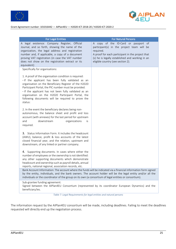



| <b>For Legal Entities</b>                                                                                                                                                                                                                                                                                                                                                                                 | <b>For Natural Persons</b>                                                                                                                                                                                                                  |
|-----------------------------------------------------------------------------------------------------------------------------------------------------------------------------------------------------------------------------------------------------------------------------------------------------------------------------------------------------------------------------------------------------------|---------------------------------------------------------------------------------------------------------------------------------------------------------------------------------------------------------------------------------------------|
| A legal existence: Company Register, Official<br>Journal, and so forth, showing the name of the<br>organization, the legal address and registration<br>number and, if applicable, a copy of a document<br>proving VAT registration (in case the VAT number<br>does not show on the registration extract or its<br>equivalent)                                                                             | A copy of the ID-Card or passport of<br>participant(s) in the project team will be<br>required.<br>A proof for each participant in the project that<br>(s) he is legally established and working in an<br>eligible country (see section 2). |
| Specifically for organisations:                                                                                                                                                                                                                                                                                                                                                                           |                                                                                                                                                                                                                                             |
| 1. A proof of the organisation condition is required:<br>- If the applicant has been fully validated as an<br>organisation on the Beneficiary Register of the H2020<br>Participant Portal, the PIC number must be provided.<br>- If the applicant has not been fully validated as an<br>organisation on the H2020 Participant Portal, the<br>following documents will be required to prove the<br>status: |                                                                                                                                                                                                                                             |
| 2. In the event the beneficiary declares being non-<br>autonomous, the balance sheet and profit and loss<br>account (with annexes) for the last period for upstream<br>downstream<br>and<br>organizations<br>is<br>required.                                                                                                                                                                              |                                                                                                                                                                                                                                             |
| 3. Status Information Form. It includes the headcount<br>(AWU), balance, profit & loss accounts of the latest<br>closed financial year, and the relation, upstream and<br>downstream, of any linked or partner company.                                                                                                                                                                                   |                                                                                                                                                                                                                                             |
| 4. Supporting documents. In cases where either the<br>number of employees or the ownership is not identified:<br>any other supporting documents which demonstrate<br>headcount and ownership such as payroll details, annual<br>reports, national regional, association records, etc.                                                                                                                     |                                                                                                                                                                                                                                             |
| Bank Account Information: The account where the funds will be indicated via a financial information form signed<br>by the entity, individuals, and the bank owners. The account holder will be the legal entity and/or all the<br>individuals or the coordinator of the group on its own (a consortium of legal entities or consortium).                                                                  |                                                                                                                                                                                                                                             |
| Sub-grantee funding agreement:<br>Signed between the AIPlan4EU Consortium (represented by its coordinator European Dynamics) and the<br>beneficiary/ies.                                                                                                                                                                                                                                                  |                                                                                                                                                                                                                                             |

*Table 7: Legal Requirements for legal entities and natural persons*

The information request by the AIPlan4EU consortium will be made, including deadlines. Failing to meet the deadlines requested will directly end up the negotiation process.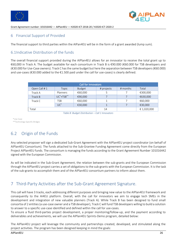



# 6 Financial Support of Provided

The financial support to third parties within the AIPan4EU will be in the form of a grant awarded (lump sum).

# 6.1Indicative Distribution of the funds

The overall financial support provided during the AIPlan4EU allows for an innovator to receive the total grant up to €60,000 in Track A. The budget available for each consortium in Track B is €90.000 (€60.000 for TSB developers and (€30.000 for Use-Case owners). Track C has the same budget but here the separation between TSB developers (€60.000) and use-cases (€30.000 added to the €1.500 paid under the call for use-cases) is clearly defined.

| <b>Call for Innovators</b> |                 |               |            |          |             |
|----------------------------|-----------------|---------------|------------|----------|-------------|
| Open Call #1               | Topic           | <b>Budget</b> | # projects | # months | Total       |
| Track A                    | Planners        | €60,000       |            |          | €300,000    |
| Track B                    | $UC^*+TSB^{**}$ | €90,000       |            |          | €630,000    |
| Track C                    | <b>TSB</b>      | €60,000       |            |          | €60,000     |
|                            | $UC^*$          | €30,000       |            |          | €30,000     |
| Total                      |                 |               | 14         |          | € 1,020,000 |

*Table 8: Budget Distribution – Call 1 Innovators*

\*Use-Case

\*\*Technology-Specific Bridges

# 6.2 Origin of the Funds

Any selected proposer will sign a dedicated Sub-Grant Agreement with the AIPlan4EU project coordinator (on behalf of AIPlan4EU Consortium). The funds attached to the Sub-Grantee Funding Agreement come directly from the European Project AIPlan4EU funds. The consortium is managing the funds according to the Grant Agreement Number 101016442 signed with the European Commission.

As will be indicated in the Sub-Grant Agreement, the relation between the sub-grants and the European Commission through the AIPlan4EU project carries a set of obligations to the sub-grants with the European Commission. It is the task of the sub-grants to accomplish them and of the AIPlan4EU consortium partners to inform about them.

# 7 Third-Party Activities after the Sub-Grant Agreement Signature.

This call will have 3 tracks, each addressing different purposes and bringing new value to the AIPlan4EU framework and consequently to the AI4EU platform. Overall, with the call for innovators we aim to engage tech SMEs in the development and integration of new valuable planners (Track A). While Track B has been designed to fund small consortia of 2 entities (a use-case owner and a TSB developer), Track C will fund TSB developers willing to build a solution to answer to a specific use-case identified and defined within the call for use-cases.

To ensure a fluid third-parties project development, a proper monitoring/follow-up, and the payment according to deliverables and achievements, we will use the AIPlan4EU Sprints-Demo program, detailed below:

The AIPlan4EU project will leverage the community and partnerships created, developed, and stimulated along the project activities. The program has been designed keeping in mind the goals: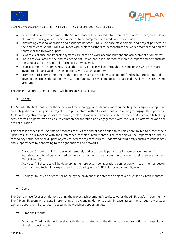



- Iterative development approach: the Sprints phase will be divided into 3 Sprints of 2 months each, and 1 Demo of 1 month, during which specific work has to be completed and made ready for review.
- Stimulating cross-collaboration and exchange between SMEs, use-case stakeholders, and project partners: at the end of each Sprint, SMEs will meet with project partners to demonstrate the work accomplished and set targets for the following Sprint.
- Reward excellence and impact: payments are based on work accomplishment and achievement of objectives.
- These are evaluated at the end of each Sprint. Demo phase is a method to increase impact and demonstrate the value also to the AI4EU platform ecosystem overall.
- Expose common AIPlan4EU results: all third-party projects will go through the Demo phase where they are invited to pilot and validate their solutions with users/ customers.
- Promote third-party commitment: third parties that have not been selected for funding but are committed to develop the proposed solutions even without funding, are welcome to participate in the AIPlan4EU Sprint-Demo program.

The AIPlan4EU Sprint-Demo program will be organized as follows:

**Sprints** 

The Sprint is the first phase after the selection of the winning proposals and aims at supporting the design, development, and integration of third-parties projects. The phase starts with a kick-off bootcamp aiming to engage third parties in AIPlan4EU objectives and processes (resources, tools and instruments made available by the team). Community building activities will be performed to ensure common collaboration and engagement with the AI4EU platform beyond the project duration.

This phase is divided into 3 Sprints of 2 months each. At the end of each period third parties are invited to present their Sprint results on a meeting with their reference consortia Tech-mentor. The meeting will be important to discuss technology paths, define next Sprint objectives, access project resources, understand third-party constraints/challenges and support them by connecting to the right entities and networks.

- ⇒ Duration: 6 months, third parties work remotely and occasionally participate in face-to-face meetings/ workshops and trainings organized by the consortium or in direct communication with their use-case partner (Track B and C)
- ⇒ Activities: Third parties will be developing their projects in collaboration/ connection with tech-mentor, sector specialists and technology experts and participating in the AI4EU platform community events.
- ⇒ Funding: 30% at end of each sprint, being the payment associated with objectives assessed by Tech-mentors.
- Demo

The Demo phase focuses on demonstrating the project achievements/ results towards the AI4EU platform community. The AIPlan4EU team will engage in promoting and expanding demonstrators' impacts across the various networks, as well as supporting third parties in accessing new business opportunities.

- ⇒ Duration: 1 month.
- ⇒ Activities: Third parties will develop activities associated with the demonstration, promotion and exploitation of their project results.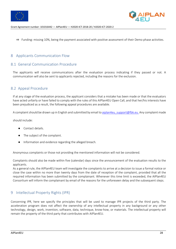



⇒ Funding: missing 10%, being the payment associated with positive assessment of their Demo phase activities.

# 8 Applicants Communication Flow

### 8.1 General Communication Procedure

The applicants will receive communications after the evaluation process indicating if they passed or not. A communication will also be sent to applicants rejected, including the reasons for the exclusion.

# 8.2 Appeal Procedure

If at any stage of the evaluation process, the applicant considers that a mistake has been made or that the evaluators have acted unfairly or have failed to comply with the rules of this AIPlan4EU Open Call, and that her/his interests have been prejudiced as a result, the following appeal procedures are available.

A complaint should be drawn up in English and submitted by email to aiplan4eu\_support@fbk.eu. Any complaint made

should include:

- Contact details.
- The subject of the complaint.
- Information and evidence regarding the alleged breach.

Anonymous complaints or those not providing the mentioned information will not be considered.

Complaints should also be made within five (calendar) days since the announcement of the evaluation results to the applicants.

As a general rule, the AIPlan4EU team will investigate the complaints to arrive at a decision to issue a formal notice or close the case within no more than twenty days from the date of reception of the complaint, provided that all the required information has been submitted by the complainant. Whenever this time limit is exceeded, the AIPlan4EU Consortium will inform the complainant by email of the reasons for the unforeseen delay and the subsequent steps.

### 9 Intellectual Property Rights (IPR)

Concerning IPR, here we specify the principles that will be used to manage IPR projects of the third party. The acceleration program does not affect the ownership of any intellectual property in any background or any other technology, design, work, invention, software, data, technique, know-how, or materials. The intellectual property will remain the property of the third party that contributes with AIPlan4EU.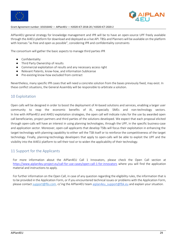



AIPlan4EU general strategy for knowledge management and IPR will be to have an open-source UPF freely available through the AI4EU platform for download and deployed as a live API. TBSs and Planners will be available on the platform with licenses "as free and open as possible", considering IPR and confidentiality constraints

The consortium will gather the basic aspects to manage third parties IPR

- Confidentiality
- Third Party Ownership of results
- Commercial exploitation of results and any necessary access right
- Relevant Patents, know-how, and information Sublicense
- Pre-existing know-how excluded from contract

Nevertheless, many specific IPR cases that will need a concrete solution from the bases previously fixed, may exist. In these conflict situations, the General Assembly will be responsible to arbitrate a solution.

# 10 Exploitation

Open calls will be designed in order to boost the deployment of AI-based solutions and services, enabling a larger user community to reap the economic benefits of AI, especially SMEs and non-technology sectors. In line with AIPlan4EU and AI4EU exploitation strategies, the open call will indicate rules for the use by awarded open call beneficiaries, project partners and third parties of the solutions developed. We expect that each proposal elicited through open-calls will have an interest in using planning technologies, through the UPF, in the specific business-case and application sector. Moreover, open-call applicants that develop TSBs will focus their exploitation in enhancing the target technology with planning capability to either sell the TSB itself or to reinforce the competitiveness of the target technology. Finally, planning-technology developers that apply to open-calls will be able to exploit the UPF and the visibility into the AI4EU platform to sell their tool or to widen the applicability of their technology.

# 11 Support for the Applicants

For more information about the AIPlan4EU Call 1 Innovators, please check the Open Call section at https://www.aiplan4eu-project.eu/call-for-use-cases/open-call-1-for-innovators where you will find the application material and instructions to apply.

For further information on the Open Call, in case of any question regarding the eligibility rules, the information that is to be provided in the Application Form, or if you encountered technical issues or problems with the Application Form, please contact support@f6s.com, cc'ing the AIPlan4EU team aiplan4eu\_support@fbk.eu and explain your situation.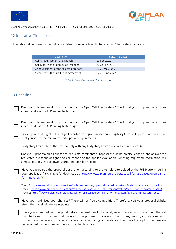



# 12 Indicative Timetable

The table below presents the indicative dates during which each phase of Call 1 Innovators will occur.

| Description                           | Indicative Dates |
|---------------------------------------|------------------|
| Call Announcement and Launch          | 17 Feb 2022      |
| Call Closure and Submission Deadline  | 20 April 2022    |
| Announcement of the selected proposal | By 20 May 2022   |
| Signature of the Sub-Grant Agreement  | By 20 June 2022  |

*Table 9: Timetable - Open Call 1 Innovators*

# 13 Checklist

| Does your planned work fit with a track of the Open Call 1 Innovators? Check that your proposed work does<br>indeed address the AI Planning technology.                                                                                                                                                                                                                                             |
|-----------------------------------------------------------------------------------------------------------------------------------------------------------------------------------------------------------------------------------------------------------------------------------------------------------------------------------------------------------------------------------------------------|
| Does your planned work fit with a track of the Open Call 1 Innovators? Check that your proposed work does<br>indeed address the AI Planning technology.                                                                                                                                                                                                                                             |
| Is your proposal eligible? The eligibility criteria are given in section 2. Eligibility Criteria. In particular, make sure<br>that you satisfy the minimum participation requirements.                                                                                                                                                                                                              |
| Budgetary limits. Check that you comply with any budgetary limits as expressed in chapter 6.                                                                                                                                                                                                                                                                                                        |
| Does your proposal fulfill questions, requests/comments? Proposal should be precise, concise, and answer the<br>requested questions designed to correspond to the applied evaluation. Omitting requested information will<br>almost certainly lead to lower scores and possible rejection.                                                                                                          |
| Have you prepared the proposal description according to the template to upload at the F6S Platform during<br>your application? (Available for download at https://www.aiplan4eu-project.eu/call-for-use-cases/open-call-1-<br>for-innovators/).                                                                                                                                                     |
| Track A:https://www.aiplan4eu-project.eu/call-for-use-cases/open-call-1-for-innovators/#call-1-for-innovators-track-A<br>Track B:https://www.aiplan4eu-project.eu/call-for-use-cases/open-call-1-for-innovators/#call-1-for-innovators-track-B<br>Track C: https://www.aiplan4eu-project.eu/call-for-use-cases/open-call-1-for-innovators/#Call1ForInnovatorsTrackC                                 |
| Have you maximised your chances? There will be fierce competition. Therefore, edit your proposal tightly,<br>strengthen or eliminate weak points.                                                                                                                                                                                                                                                   |
| Have you submitted your proposal before the deadline? It is strongly recommended not to wait until the last<br>minute to submit the proposal. Failure of the proposal to arrive in time for any reason, including network<br>communication delays, is not acceptable as an extenuating circumstance. The time of receipt of the message<br>as recorded by the submission system will be definitive. |